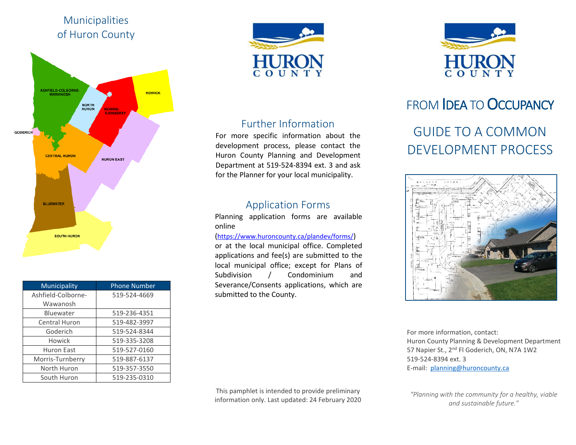## Municipalities of Huron County



| Municipality       | <b>Phone Number</b> |
|--------------------|---------------------|
| Ashfield-Colborne- | 519-524-4669        |
| Wawanosh           |                     |
| Bluewater          | 519-236-4351        |
| Central Huron      | 519-482-3997        |
| Goderich           | 519-524-8344        |
| Howick             | 519-335-3208        |
| Huron East         | 519-527-0160        |
| Morris-Turnberry   | 519-887-6137        |
| North Huron        | 519-357-3550        |
| South Huron        | 519-235-0310        |



## Further Information

For more specific information about the development process, please contact the Huron County Planning and Development Department at 519-524-8394 ext. 3 and ask for the Planner for your local municipality.

## Application Forms

Planning application forms are available online

#### [\(https://www.huroncounty.ca/plandev/forms/\)](https://www.huroncounty.ca/plandev/forms/)

or at the local municipal office. Completed applications and fee(s) are submitted to the local municipal office; except for Plans of Subdivision / Condominium and Severance/Consents applications, which are submitted to the County.



# FROM **IDEA TO OCCUPANCY**

# GUIDE TO A COMMON DEVELOPMENT PROCESS



For more information, contact: Huron County Planning & Development Department 57 Napier St., 2<sup>nd</sup> Fl Goderich, ON, N7A 1W2 519-524-8394 ext. 3 E-mail: [planning@huroncounty.ca](mailto:planning@huroncounty.ca)

This pamphlet is intended to provide preliminary information only. Last updated: 24 February 2020

*"Planning with the community for a healthy, viable and sustainable future."*